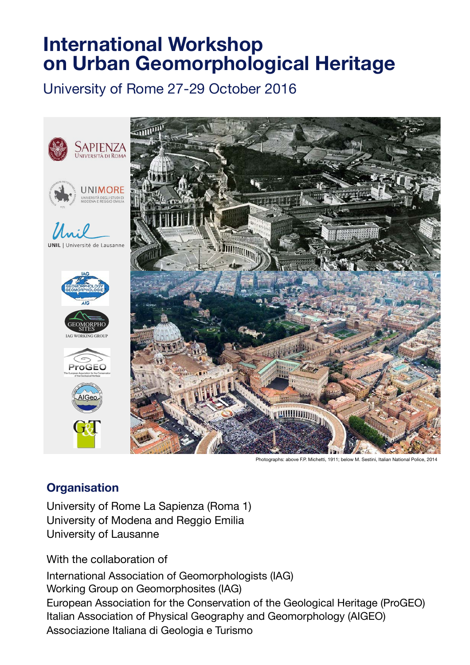# **International Workshop on Urban Geomorphological Heritage**

University of Rome 27-29 October 2016





ersité de Lausanne











Photographs: above F.P. Michetti, 1911; below M. Sestini, Italian National Police, 2014

## **Organisation**

University of Rome La Sapienza (Roma 1) University of Modena and Reggio Emilia University of Lausanne

With the collaboration of

International Association of Geomorphologists (IAG) Working Group on Geomorphosites (IAG) European Association for the Conservation of the Geological Heritage (ProGEO) Italian Association of Physical Geography and Geomorphology (AIGEO) Associazione Italiana di Geologia e Turismo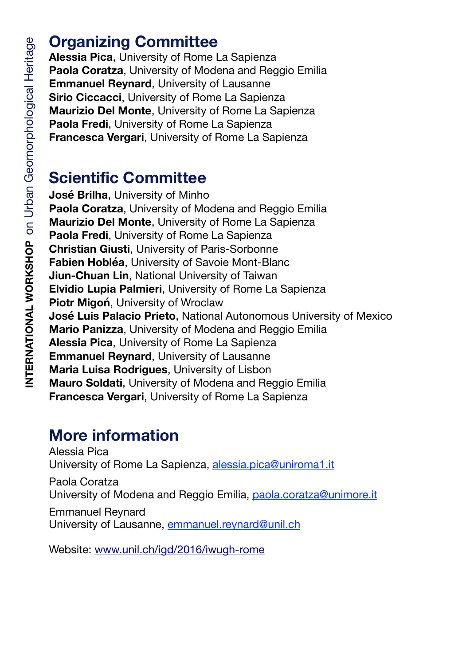# **Organizing Committee**

**Alessia Pica**, University of Rome La Sapienza **Paola Coratza**, University of Modena and Reggio Emilia **Emmanuel Reynard**, University of Lausanne **Sirio Ciccacci**, University of Rome La Sapienza **Maurizio Del Monte**, University of Rome La Sapienza **Paola Fredi**, University of Rome La Sapienza **Francesca Vergari**, University of Rome La Sapienza

# **Scientific Committee**

**José Brilha**, University of Minho **Paola Coratza**, University of Modena and Reggio Emilia **Maurizio Del Monte**, University of Rome La Sapienza **Paola Fredi**, University of Rome La Sapienza **Christian Giusti**, University of Paris-Sorbonne **Fabien Hobléa**, University of Savoie Mont-Blanc **Jiun-Chuan Lin**, National University of Taiwan **Elvidio Lupia Palmieri**, University of Rome La Sapienza **Piotr Migoń**, University of Wroclaw **José Luis Palacio Prieto**, National Autonomous University of Mexico **Mario Panizza**, University of Modena and Reggio Emilia **Alessia Pica**, University of Rome La Sapienza **Emmanuel Reynard**, University of Lausanne **Maria Luisa Rodrigues**, University of Lisbon **Mauro Soldati**, University of Modena and Reggio Emilia **Francesca Vergari**, University of Rome La Sapienza

# **More information**

Alessia Pica University of Rome La Sapienza, alessia.pica@uniroma1.it

Paola Coratza University of Modena and Reggio Emilia, [paola.coratza@unimore.it](mailto:paola.coratza@unimore.it)

Emmanuel Reynard University of Lausanne, [emmanuel.reynard@unil.ch](mailto:emmanuel.reynard@unil.ch)

Website: [www.unil.ch/igd/2016/iwugh-rome](http://www.unil.ch/igd/2016/iwugh-rome)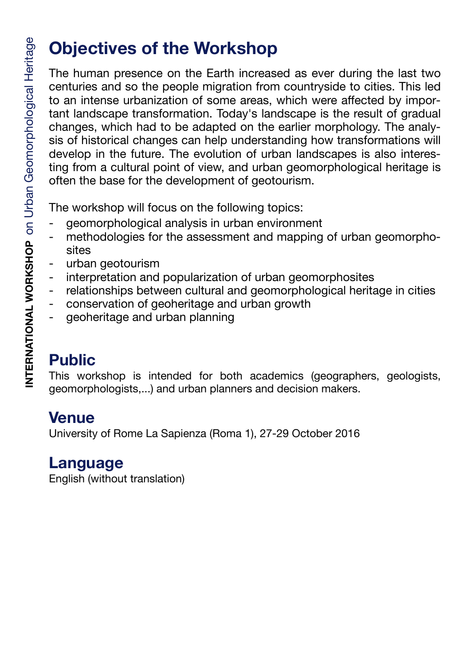# **Objectives of the Workshop**

The human presence on the Earth increased as ever during the last two centuries and so the people migration from countryside to cities. This led to an intense urbanization of some areas, which were affected by important landscape transformation. Today's landscape is the result of gradual changes, which had to be adapted on the earlier morphology. The analysis of historical changes can help understanding how transformations will develop in the future. The evolution of urban landscapes is also interesting from a cultural point of view, and urban geomorphological heritage is often the base for the development of geotourism.

The workshop will focus on the following topics:

- geomorphological analysis in urban environment
- methodologies for the assessment and mapping of urban geomorphosites
- urban geotourism
- interpretation and popularization of urban geomorphosites
- relationships between cultural and geomorphological heritage in cities
- conservation of geoheritage and urban growth
- geoheritage and urban planning

# **Public**

This workshop is intended for both academics (geographers, geologists, geomorphologists,...) and urban planners and decision makers.

# **Venue**

University of Rome La Sapienza (Roma 1), 27-29 October 2016

## **Language**

English (without translation)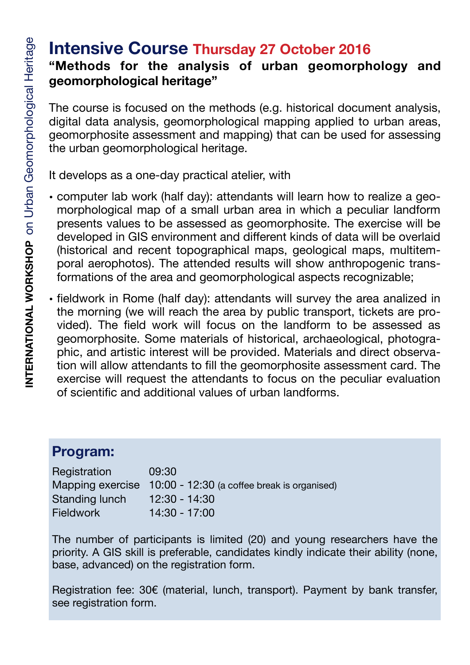## **Intensive Course Thursday 27 October 2016 "Methods for the analysis of urban geomorphology and geomorphological heritage"**

The course is focused on the methods (e.g. historical document analysis, digital data analysis, geomorphological mapping applied to urban areas, geomorphosite assessment and mapping) that can be used for assessing the urban geomorphological heritage.

It develops as a one-day practical atelier, with

- computer lab work (half day): attendants will learn how to realize a geomorphological map of a small urban area in which a peculiar landform presents values to be assessed as geomorphosite. The exercise will be developed in GIS environment and different kinds of data will be overlaid (historical and recent topographical maps, geological maps, multitemporal aerophotos). The attended results will show anthropogenic transformations of the area and geomorphological aspects recognizable;
- fieldwork in Rome (half day): attendants will survey the area analized in the morning (we will reach the area by public transport, tickets are provided). The field work will focus on the landform to be assessed as geomorphosite. Some materials of historical, archaeological, photographic, and artistic interest will be provided. Materials and direct observation will allow attendants to fill the geomorphosite assessment card. The exercise will request the attendants to focus on the peculiar evaluation of scientific and additional values of urban landforms.

## **Program:**

Registration 09:30 Mapping exercise 10:00 - 12:30 (a coffee break is organised) Standing lunch 12:30 - 14:30 Fieldwork 14:30 - 17:00

The number of participants is limited (20) and young researchers have the priority. A GIS skill is preferable, candidates kindly indicate their ability (none, base, advanced) on the registration form.

Registration fee: 30€ (material, lunch, transport). Payment by bank transfer, see registration form.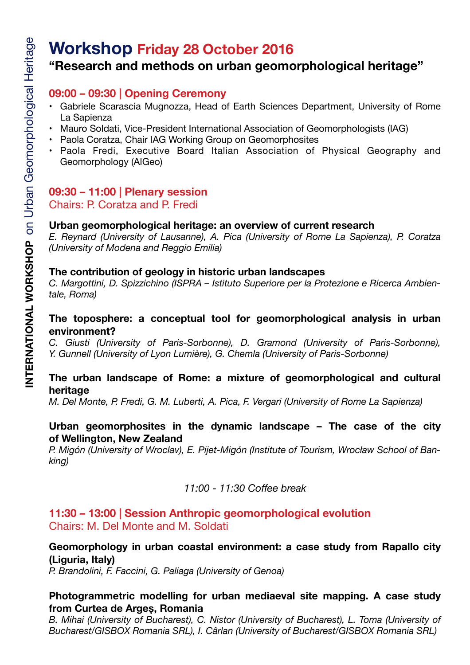## **Workshop Friday 28 October 2016 "Research and methods on urban geomorphological heritage"**

#### **09:00 – 09:30 | Opening Ceremony**

- Gabriele Scarascia Mugnozza, Head of Earth Sciences Department, University of Rome La Sapienza
- Mauro Soldati, Vice-President International Association of Geomorphologists (IAG)
- Paola Coratza, Chair IAG Working Group on Geomorphosites
- Paola Fredi, Executive Board Italian Association of Physical Geography and Geomorphology (AIGeo)

#### **09:30 – 11:00 | Plenary session** Chairs: P. Coratza and P. Fredi

#### **Urban geomorphological heritage: an overview of current research**

*E. Reynard (University of Lausanne), A. Pica (University of Rome La Sapienza), P. Coratza (University of Modena and Reggio Emilia)* 

#### **The contribution of geology in historic urban landscapes**

*C. Margottini, D. Spizzichino (ISPRA – Istituto Superiore per la Protezione e Ricerca Ambientale, Roma)* 

#### **The toposphere: a conceptual tool for geomorphological analysis in urban environment?**

*C. Giusti (University of Paris-Sorbonne), D. Gramond (University of Paris-Sorbonne), Y. Gunnell (University of Lyon Lumière), G. Chemla (University of Paris-Sorbonne)*

#### **The urban landscape of Rome: a mixture of geomorphological and cultural heritage**

*M. Del Monte, P. Fredi, G. M. Luberti, A. Pica, F. Vergari (University of Rome La Sapienza)* 

#### **Urban geomorphosites in the dynamic landscape – The case of the city of Wellington, New Zealand**

*P. Migón (University of Wroclav), E. Pijet-Migón (Institute of Tourism, Wrocław School of Banking)*

*11:00 - 11:30 Coffee break* 

#### **11:30 – 13:00 | Session Anthropic geomorphological evolution** Chairs: M. Del Monte and M. Soldati

#### **Geomorphology in urban coastal environment: a case study from Rapallo city (Liguria, Italy)**

*P. Brandolini, F. Faccini, G. Paliaga (University of Genoa)* 

#### **Photogrammetric modelling for urban mediaeval site mapping. A case study from Curtea de Argeș, Romania**

*B. Mihai (University of Bucharest), C. Nistor (University of Bucharest), L. Toma (University of Bucharest/GISBOX Romania SRL), I. Cârlan (University of Bucharest/GISBOX Romania SRL)*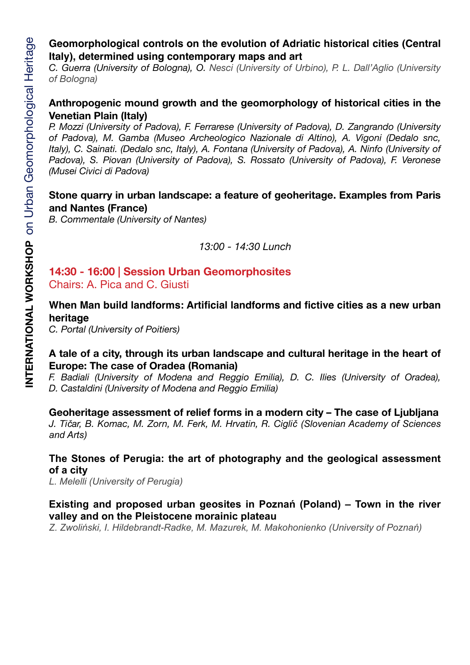#### **Geomorphological controls on the evolution of Adriatic historical cities (Central Italy), determined using contemporary maps and art**

*C. Guerra (University of Bologna), O. Nesci (University of Urbino), P. L. Dall'Aglio (University of Bologna)* 

#### **Anthropogenic mound growth and the geomorphology of historical cities in the Venetian Plain (Italy)**

*P. Mozzi (University of Padova), F. Ferrarese (University of Padova), D. Zangrando (University of Padova), M. Gamba (Museo Archeologico Nazionale di Altino), A. Vigoni (Dedalo snc, Italy), C. Sainati. (Dedalo snc, Italy), A. Fontana (University of Padova), A. Ninfo (University of Padova), S. Piovan (University of Padova), S. Rossato (University of Padova), F. Veronese (Musei Civici di Padova)* 

#### **Stone quarry in urban landscape: a feature of geoheritage. Examples from Paris and Nantes (France)**

*B. Commentale (University of Nantes)* 

*13:00 - 14:30 Lunch* 

#### **14:30 - 16:00 | Session Urban Geomorphosites**  Chairs: A. Pica and C. Giusti

#### **When Man build landforms: Artificial landforms and fictive cities as a new urban heritage**

*C. Portal (University of Poitiers)* 

#### **A tale of a city, through its urban landscape and cultural heritage in the heart of Europe: The case of Oradea (Romania)**

*F. Badiali (University of Modena and Reggio Emilia), D. C. Ilies (University of Oradea), D. Castaldini (University of Modena and Reggio Emilia)* 

#### **Geoheritage assessment of relief forms in a modern city – The case of Ljubljana**

*J. Tičar, B. Komac, M. Zorn, M. Ferk, M. Hrvatin, R. Ciglič (Slovenian Academy of Sciences and Arts)* 

#### **The Stones of Perugia: the art of photography and the geological assessment of a city**

*L. Melelli (University of Perugia)* 

#### **Existing and proposed urban geosites in Poznań (Poland) – Town in the river valley and on the Pleistocene morainic plateau**

*Z. Zwoliński, I. Hildebrandt-Radke, M. Mazurek, M. Makohonienko (University of Poznań)*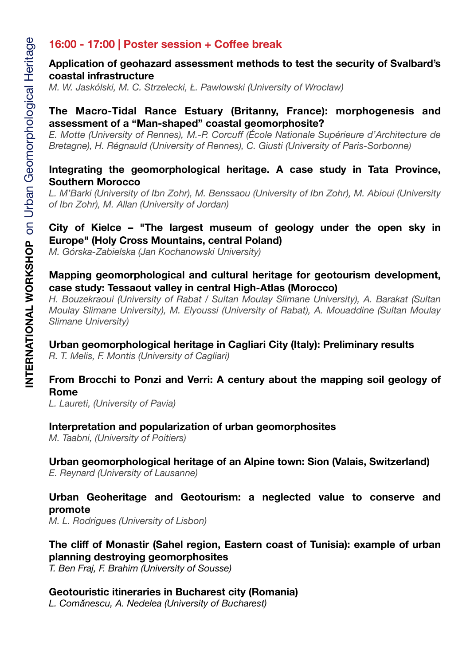#### **16:00 - 17:00 | Poster session + Coffee break**

#### **Application of geohazard assessment methods to test the security of Svalbard's coastal infrastructure**

*M. W. Jaskólski, M. C. Strzelecki, Ł. Pawłowski (University of Wrocław)* 

#### **The Macro-Tidal Rance Estuary (Britanny, France): morphogenesis and assessment of a "Man-shaped" coastal geomorphosite?**

*E. Motte (University of Rennes), M.-P. Corcuff (École Nationale Supérieure d'Architecture de Bretagne), H. Régnauld (University of Rennes), C. Giusti (University of Paris-Sorbonne)* 

#### **Integrating the geomorphological heritage. A case study in Tata Province, Southern Morocco**

*L. M'Barki (University of Ibn Zohr), M. Benssaou (University of Ibn Zohr), M. Abioui (University of Ibn Zohr), M. Allan (University of Jordan)* 

#### **City of Kielce – "The largest museum of geology under the open sky in Europe" (Holy Cross Mountains, central Poland)**

*M. Górska-Zabielska (Jan Kochanowski University)* 

#### **Mapping geomorphological and cultural heritage for geotourism development, case study: Tessaout valley in central High-Atlas (Morocco)**

*H. Bouzekraoui (University of Rabat / Sultan Moulay Slimane University), A. Barakat (Sultan Moulay Slimane University), M. Elyoussi (University of Rabat), A. Mouaddine (Sultan Moulay Slimane University)* 

#### **Urban geomorphological heritage in Cagliari City (Italy): Preliminary results**

*R. T. Melis, F. Montis (University of Cagliari)* 

#### **From Brocchi to Ponzi and Verri: A century about the mapping soil geology of Rome**

*L. Laureti, (University of Pavia)* 

#### **Interpretation and popularization of urban geomorphosites**

*M. Taabni, (University of Poitiers)* 

#### **Urban geomorphological heritage of an Alpine town: Sion (Valais, Switzerland)**

*E. Reynard (University of Lausanne)* 

#### **Urban Geoheritage and Geotourism: a neglected value to conserve and promote**

*M. L. Rodrigues (University of Lisbon)* 

#### **The cliff of Monastir (Sahel region, Eastern coast of Tunisia): example of urban planning destroying geomorphosites**

*T. Ben Fraj, F. Brahim (University of Sousse)* 

#### **Geotouristic itineraries in Bucharest city (Romania)**

*L. Comănescu, A. Nedelea (University of Bucharest)*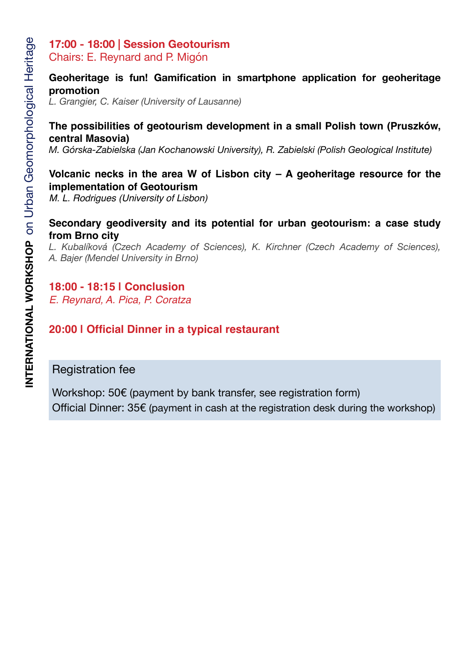# **17:00 - 18:00 | Session Geotourism**

Chairs: E. Reynard and P. Migón

#### **Geoheritage is fun! Gamification in smartphone application for geoheritage promotion**

*L. Grangier, C. Kaiser (University of Lausanne)* 

#### **The possibilities of geotourism development in a small Polish town (Pruszków, central Masovia)**

*M. Górska-Zabielska (Jan Kochanowski University), R. Zabielski (Polish Geological Institute)* 

#### **Volcanic necks in the area W of Lisbon city – A geoheritage resource for the implementation of Geotourism**

*M. L. Rodrigues (University of Lisbon)*

#### **Secondary geodiversity and its potential for urban geotourism: a case study from Brno city**

*L. Kubalíková (Czech Academy of Sciences), K. Kirchner (Czech Academy of Sciences), A. Bajer (Mendel University in Brno)* 

### **18:00 - 18:15 | Conclusion**

*E. Reynard, A. Pica, P. Coratza*

## **20:00 | Official Dinner in a typical restaurant**

## Registration fee

Workshop: 50€ (payment by bank transfer, see registration form) Official Dinner: 35€ (payment in cash at the registration desk during the workshop)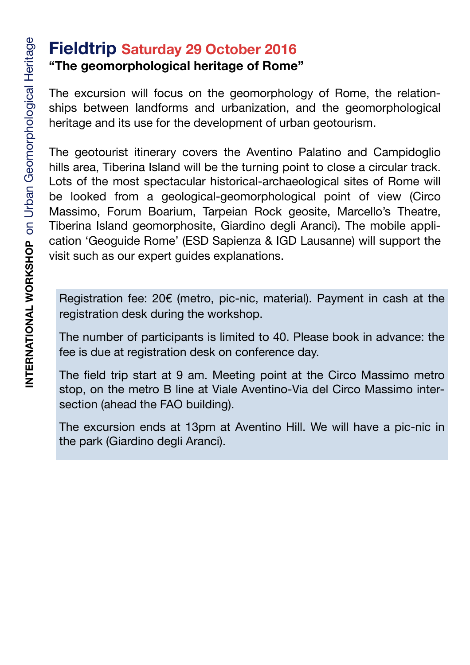# **Fieldtrip Saturday 29 October 2016 "The geomorphological heritage of Rome"**

The excursion will focus on the geomorphology of Rome, the relationships between landforms and urbanization, and the geomorphological heritage and its use for the development of urban geotourism.

The geotourist itinerary covers the Aventino Palatino and Campidoglio hills area, Tiberina Island will be the turning point to close a circular track. Lots of the most spectacular historical-archaeological sites of Rome will be looked from a geological-geomorphological point of view (Circo Massimo, Forum Boarium, Tarpeian Rock geosite, Marcello's Theatre, Tiberina Island geomorphosite, Giardino degli Aranci). The mobile application 'Geoguide Rome' (ESD Sapienza & IGD Lausanne) will support the visit such as our expert guides explanations.

Registration fee: 20€ (metro, pic-nic, material). Payment in cash at the registration desk during the workshop.

The number of participants is limited to 40. Please book in advance: the fee is due at registration desk on conference day.

The field trip start at 9 am. Meeting point at the Circo Massimo metro stop, on the metro B line at Viale Aventino-Via del Circo Massimo intersection (ahead the FAO building).

The excursion ends at 13pm at Aventino Hill. We will have a pic-nic in the park (Giardino degli Aranci).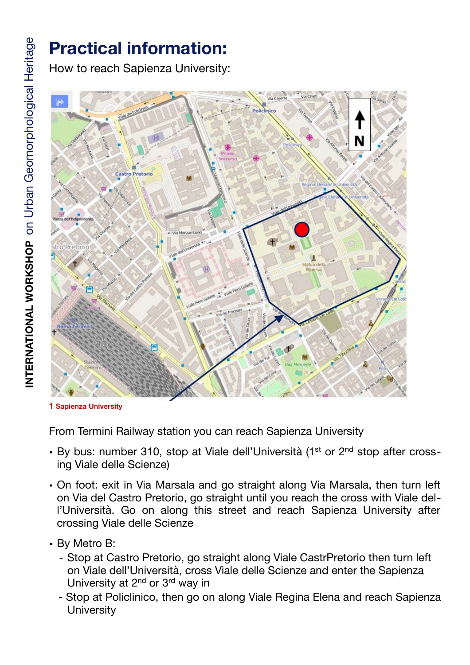# **Practical information:**

How to reach Sapienza University:



**1 Sapienza University**

From Termini Railway station you can reach Sapienza University

- By bus: number 310, stop at Viale dell'Università (1<sup>st</sup> or 2<sup>nd</sup> stop after crossing Viale delle Scienze)
- On foot: exit in Via Marsala and go straight along Via Marsala, then turn left on Via del Castro Pretorio, go straight until you reach the cross with Viale dell'Università. Go on along this street and reach Sapienza University after crossing Viale delle Scienze
- By Metro B:
	- Stop at Castro Pretorio, go straight along Viale CastrPretorio then turn left on Viale dell'Università, cross Viale delle Scienze and enter the Sapienza University at 2<sup>nd</sup> or 3<sup>rd</sup> way in
	- Stop at Policlinico, then go on along Viale Regina Elena and reach Sapienza **University**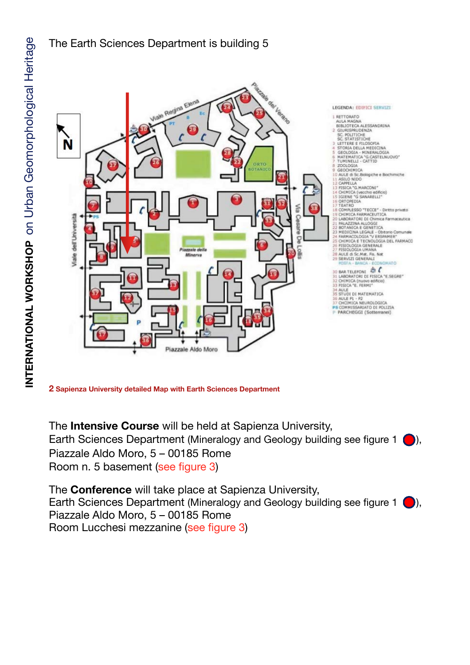

The Earth Sciences Department is building 5

**2 Sapienza University detailed Map with Earth Sciences Department**

The **Intensive Course** will be held at Sapienza University, Earth Sciences Department (Mineralogy and Geology building see figure 1  $\bigcirc$ ), Piazzale Aldo Moro, 5 – 00185 Rome Room n. 5 basement (see figure 3)

The **Conference** will take place at Sapienza University, Earth Sciences Department (Mineralogy and Geology building see figure 1  $\bigcirc$ ), Piazzale Aldo Moro, 5 – 00185 Rome Room Lucchesi mezzanine (see figure 3)